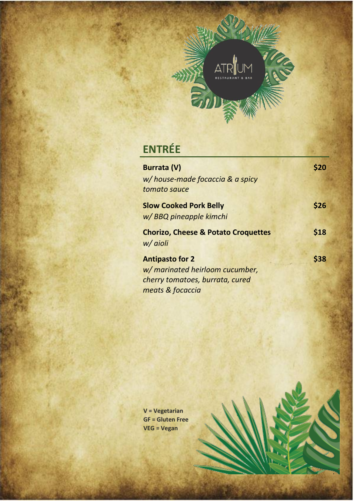

# **ENTRÉE**

| <b>Burrata (V)</b>                             |      |
|------------------------------------------------|------|
| w/house-made focaccia & a spicy                |      |
| tomato sauce                                   |      |
| <b>Slow Cooked Pork Belly</b>                  | \$26 |
| w/ BBQ pineapple kimchi                        |      |
| <b>Chorizo, Cheese &amp; Potato Croquettes</b> | \$18 |
| w/ aioli                                       |      |
| <b>Antipasto for 2</b>                         | \$38 |
| w/ marinated heirloom cucumber,                |      |
| cherry tomatoes, burrata, cured                |      |
| meats & focaccia                               |      |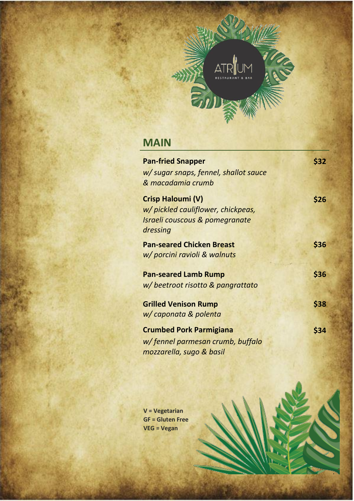

## **MAIN**

| <b>Pan-fried Snapper</b>                                                                              | \$32 |
|-------------------------------------------------------------------------------------------------------|------|
| w/ sugar snaps, fennel, shallot sauce                                                                 |      |
| & macadamia crumb                                                                                     |      |
| Crisp Haloumi (V)<br>w/ pickled cauliflower, chickpeas,<br>Israeli couscous & pomegranate<br>dressing | \$26 |
| <b>Pan-seared Chicken Breast</b>                                                                      | \$36 |
| w/ porcini ravioli & walnuts                                                                          |      |
|                                                                                                       |      |
| <b>Pan-seared Lamb Rump</b>                                                                           | \$36 |
| w/ beetroot risotto & pangrattato                                                                     |      |
|                                                                                                       |      |
| <b>Grilled Venison Rump</b>                                                                           | \$38 |
| w/ caponata & polenta                                                                                 |      |
| <b>Crumbed Pork Parmigiana</b>                                                                        | \$34 |
| w/fennel parmesan crumb, buffalo                                                                      |      |
| mozzarella, sugo & basil                                                                              |      |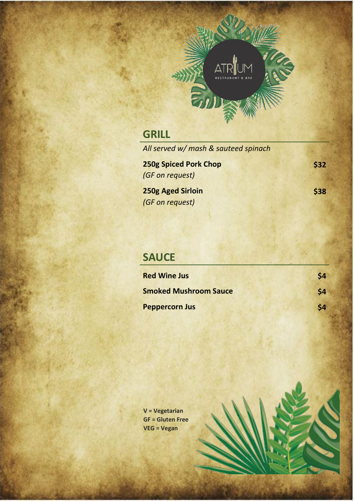

## **GRILL**

| All served w/ mash & sauteed spinach |             |
|--------------------------------------|-------------|
| <b>250g Spiced Pork Chop</b>         | <b>\$32</b> |
| (GF on request)                      |             |
| <b>250g Aged Sirloin</b>             | \$38        |

*(GF on request)*

#### **SAUCE**

| <b>Red Wine Jus</b>          | \$4 |
|------------------------------|-----|
| <b>Smoked Mushroom Sauce</b> | \$4 |
| <b>Peppercorn Jus</b>        | \$4 |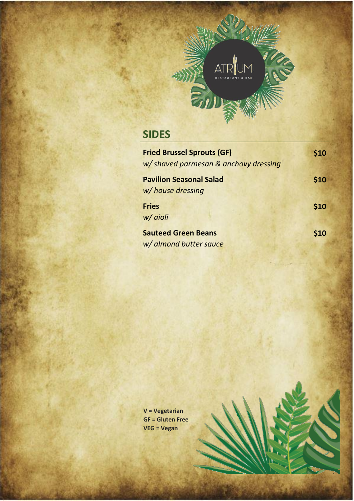

## **SIDES**

| <b>Fried Brussel Sprouts (GF)</b>    | \$10 |
|--------------------------------------|------|
| w/shaved parmesan & anchovy dressing |      |
| <b>Pavilion Seasonal Salad</b>       | \$10 |
| w/house dressing                     |      |
| <b>Fries</b>                         | \$10 |
| w/ aioli                             |      |
| <b>Sauteed Green Beans</b>           | \$10 |
| w/ almond butter sauce               |      |